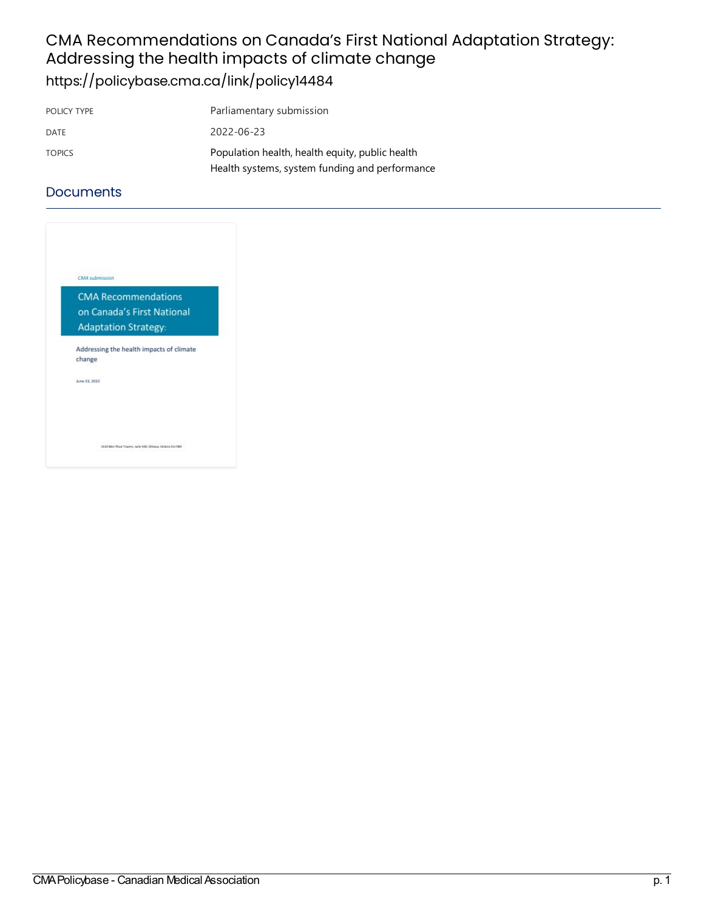### CMA Recommendations on Canada's First National Adaptation Strategy: Addressing the health impacts of climate change <https://policybase.cma.ca/link/policy14484>

| POLICY TYPE   | Parliamentary submission                                                                          |
|---------------|---------------------------------------------------------------------------------------------------|
| DATE          | 2022-06-23                                                                                        |
| <b>TOPICS</b> | Population health, health equity, public health<br>Health systems, system funding and performance |
|               |                                                                                                   |

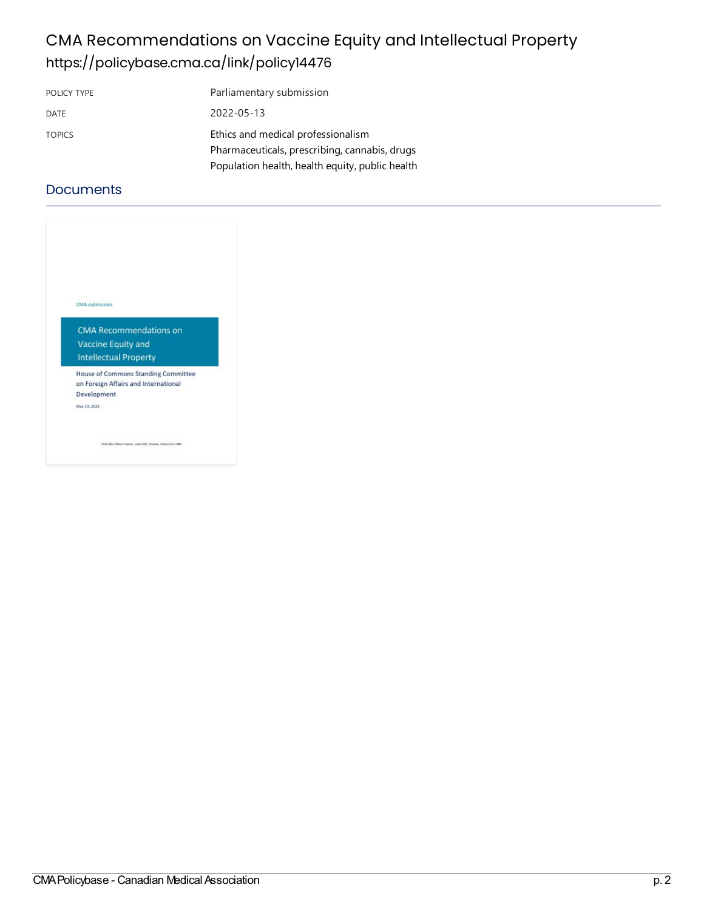## CMA Recommendations on Vaccine Equity and Intellectual Property <https://policybase.cma.ca/link/policy14476>

| POLICY TYPE   | Parliamentary submission                        |
|---------------|-------------------------------------------------|
| DATE          | 2022-05-13                                      |
| <b>TOPICS</b> | Ethics and medical professionalism              |
|               | Pharmaceuticals, prescribing, cannabis, drugs   |
|               | Population health, health equity, public health |

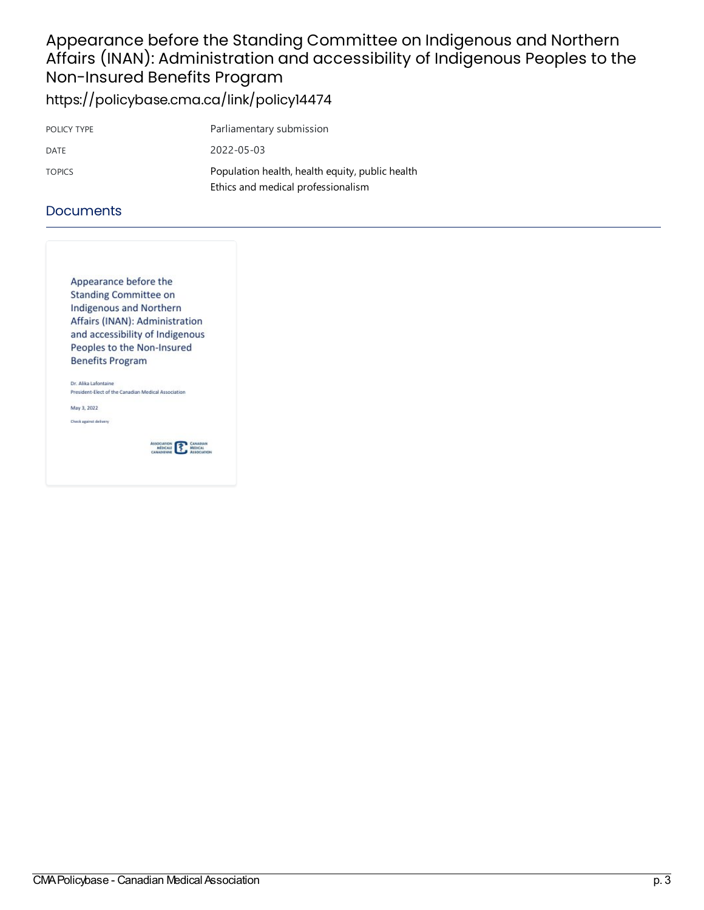### Appearance before the Standing Committee on Indigenous and Northern Affairs (INAN): Administration and accessibility of Indigenous Peoples to the Non-Insured Benefits Program <https://policybase.cma.ca/link/policy14474>

| POLICY TYPE   | Parliamentary submission                                                              |
|---------------|---------------------------------------------------------------------------------------|
| DATE          | 2022-05-03                                                                            |
| <b>TOPICS</b> | Population health, health equity, public health<br>Ethics and medical professionalism |

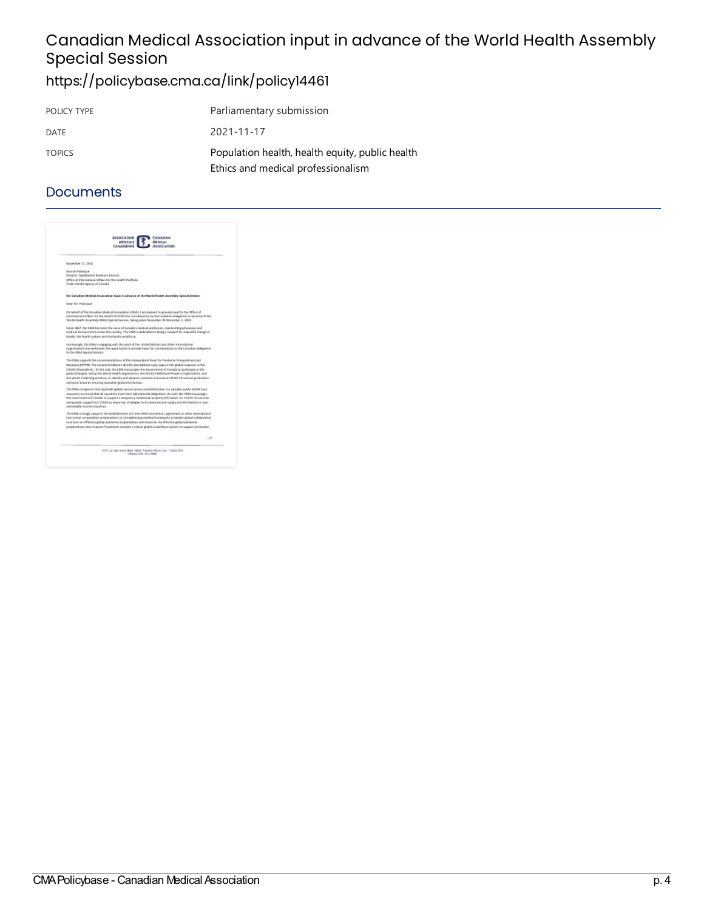# Canadian Medical Association input in advance of the World Health Assembly **Special Session**

# <https://policybase.cma.ca/link/policy14461>

| POLICY TYPE   | Parliamentary submission                                                              |
|---------------|---------------------------------------------------------------------------------------|
| DATE          | 2021-11-17                                                                            |
| <b>TOPICS</b> | Population health, health equity, public health<br>Ethics and medical professionalism |

| <b>ASSOCIATION</b><br><b><i>PRÉDUCALE</i></b><br>CANADIGNING |                                                                                                                                                                                                                                                                                                                 |
|--------------------------------------------------------------|-----------------------------------------------------------------------------------------------------------------------------------------------------------------------------------------------------------------------------------------------------------------------------------------------------------------|
| November 17, 2021                                            |                                                                                                                                                                                                                                                                                                                 |
| <b>Nicolas Palanceur</b>                                     |                                                                                                                                                                                                                                                                                                                 |
| Director, Martiateral Relations Division                     |                                                                                                                                                                                                                                                                                                                 |
| Public Health Agency of Casada                               | Office of trears stional Affairs for the Health Partfolio                                                                                                                                                                                                                                                       |
|                                                              | Rei Canadian Medical Association input in advance of the Warld Health Assembly Special Security                                                                                                                                                                                                                 |
| Dear Mr. Ralanguer.                                          |                                                                                                                                                                                                                                                                                                                 |
|                                                              | On behalf of the Canadian Medical Accoration (CRA), I am pleased to provide input to the Office of<br>International Affairs for the Health Partfolio for consideration by the Canadian delegation in advance of the<br>Welld Health Assembly (WWI) Special Secolar, taking place November 20-Orcentier 1, 2021. |
|                                                              | Since 1867, the CMK lisk been the valce of Canada's niedical profession, representing physicians and<br>reedical issumes from across the country. The CMA is dedicated to being a catalyst for impactful change in<br>health, the health system and the health workforce.                                       |
| to the 984A Special Section                                  | Increasingly, the CMA is engaging with the work of the United Nations and other intersational<br>organizations and welcomes the opportunity to provide input for consideration by the Canadian delegation                                                                                                       |
|                                                              | The CMA supports the reconsrendations of the Independent Panel for Pandemic Preparedness and                                                                                                                                                                                                                    |
|                                                              | Response (IPPPE). The recommendations identify and address major gaps in the global response to the                                                                                                                                                                                                             |
|                                                              | COVID-18 paintiered. To this end, the CMM encourages the Gayerninent of Canada to participate in the<br>glatesi dialogue, led by the Warld Health Drgawization, the Warld Intellectual Property Organization, and                                                                                               |
|                                                              | the Welld Titlel-Organization, to identify and advance railations to increase CDWD-39 vaccine production<br>and work towards ensuring equitable global distribution.                                                                                                                                            |
|                                                              | The CMM recognizes that equitable global vaccine access and distribution is a valuable public field fit tool.                                                                                                                                                                                                   |
|                                                              | receipting to elected that all cauranies meet their international obligations. As outh, the CMA electerages                                                                                                                                                                                                     |
|                                                              | the Gaustrosset of Casada to support a tensporary intellectual property EP) spisor for COVID-29 saccines<br>and greater support for COWAX as important strategies to instrusio sassive supply and distribution in law-                                                                                          |
| and middle-income countries.                                 |                                                                                                                                                                                                                                                                                                                 |
|                                                              | The CMA strangly supports the establishment of a new 18143 convention, agreement or other international                                                                                                                                                                                                         |
|                                                              | instrument on gandenic preparedness or strengthening existing fiameworks to bolter plokal collaboration<br>to evoure an effective global goodernic preparedizess and response. As effective global pandernic                                                                                                    |
|                                                              | preparedness and response fisanewark includes a robust plobal surveillance system to support prevention                                                                                                                                                                                                         |
|                                                              | $-12$                                                                                                                                                                                                                                                                                                           |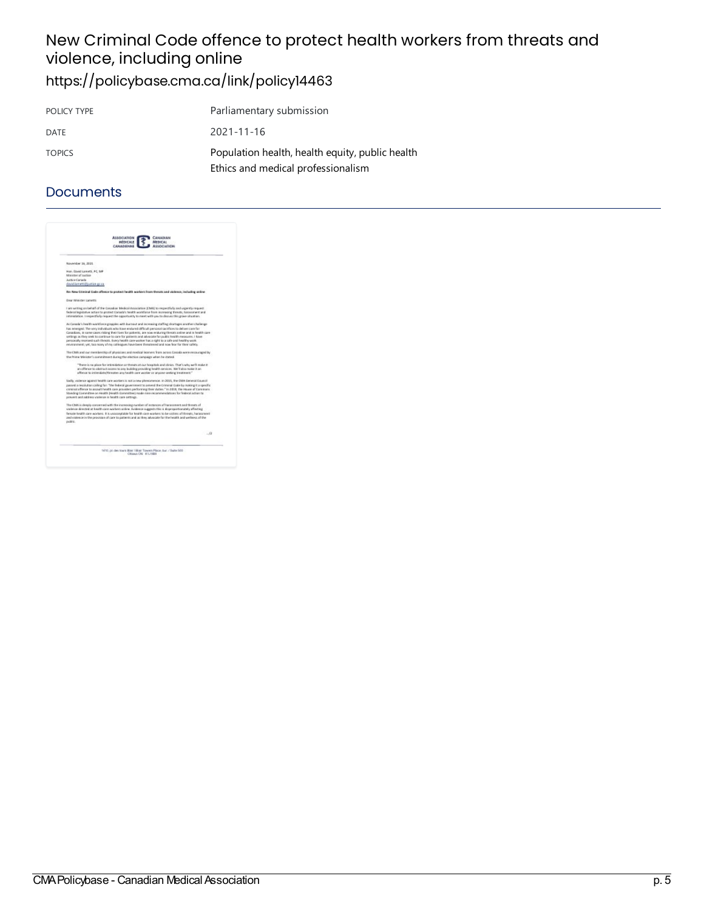### New Criminal Code offence to protect health workers from threats and violence, including online <https://policybase.cma.ca/link/policy14463>

| POLICY TYPE   | Parliamentary submission                                                              |
|---------------|---------------------------------------------------------------------------------------|
| DATE          | 2021-11-16                                                                            |
| <b>TOPICS</b> | Population health, health equity, public health<br>Ethics and medical professionalism |

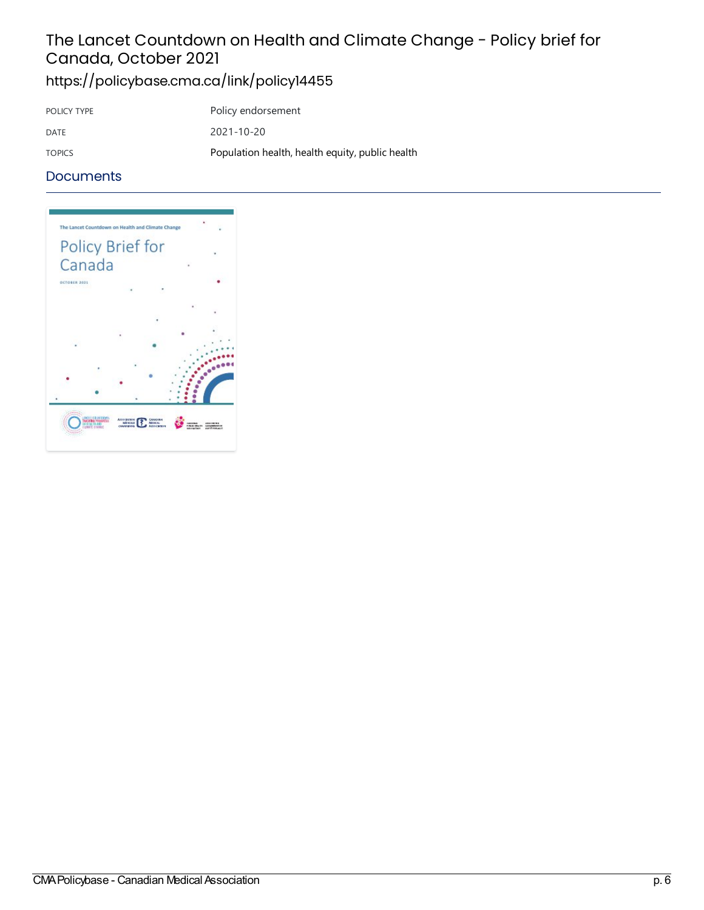# The Lancet Countdown on Health and Climate Change - Policy brief for Canada, October 2021

<https://policybase.cma.ca/link/policy14455>

| POLICY TYPE   | Policy endorsement                              |
|---------------|-------------------------------------------------|
| DATE          | 2021-10-20                                      |
| <b>TOPICS</b> | Population health, health equity, public health |

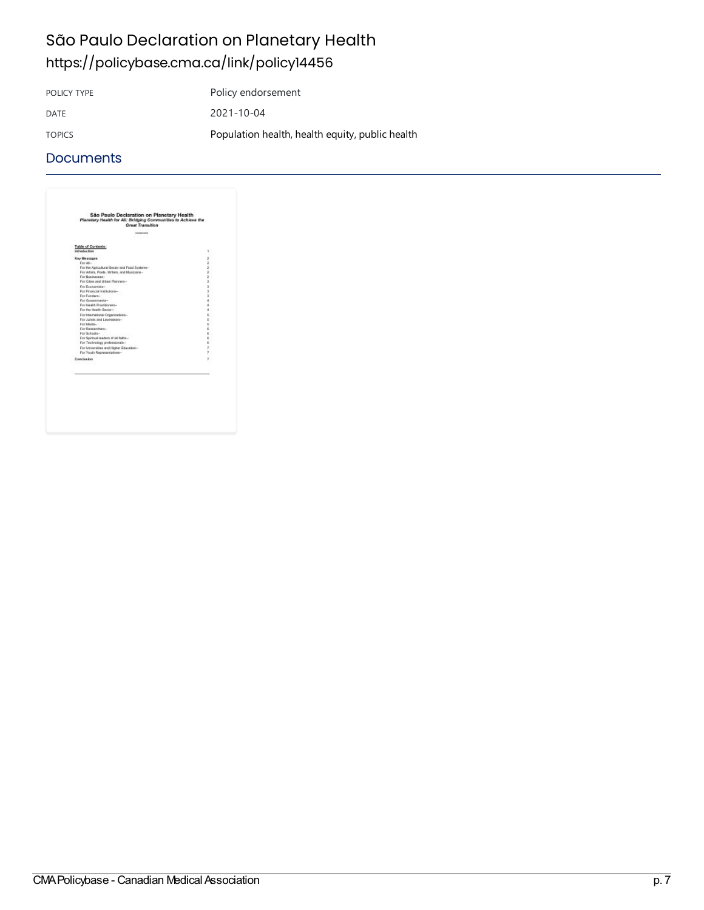# São Paulo Declaration on Planetary Health <https://policybase.cma.ca/link/policy14456>

POLICY TYPE Policy endorsement DATE 2021-10-04 TOPICS [Population](https://policybase.cma.ca/list?q=topic%253A%2522Population%20health,%20health%20equity,%20public%20health%2522&p=1&ps=&sort=title_sort%20asc) health, health equity, public health

| Table of Contents:                            |        |
|-----------------------------------------------|--------|
| Introduction                                  | 1      |
| <b>Key Messages</b>                           | ž      |
| For All-                                      | ż      |
| For the Agricultural Sector and Food Systems- | ž.     |
| For Artists, Poets, Writers, and Musiciane-   | ž      |
| For Businessesses                             | ž.     |
| For Cities and Lithan Planners-               | ä.     |
| For Economists-                               | 3      |
| For Financial Institutions-                   | ä.     |
| For Fundara-<br>For Governments-              | ä<br>ä |
| For Health Practitioners-                     | ä      |
| For the Health Sector-                        | ٠      |
| For Istamational Organizations-               | s      |
| For Jurists and Lawrenkers-                   | s.     |
| For Media-                                    | s)     |
| For Researchers-                              | ı.     |
| For Schools-                                  | r.     |
| For Spiritual leaders of all faiths-          | i.     |
| For Technology professionals-                 | r.     |
| For Universities and Higher Education-        | T.     |
| For Youth Representatives-                    | x      |
| Conclusion                                    | ,      |
|                                               |        |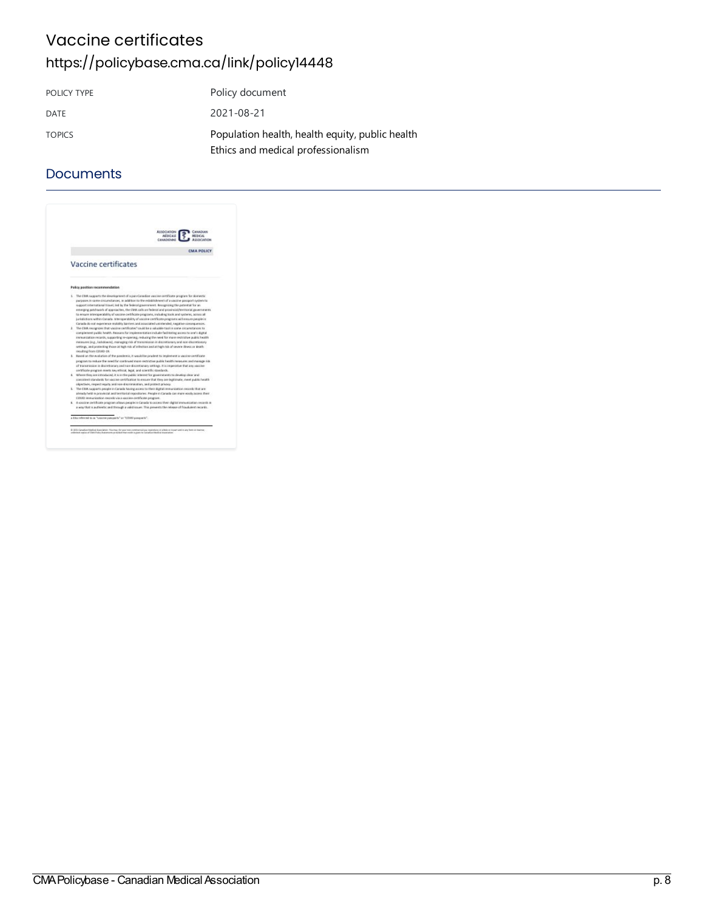## Vaccine certificates <https://policybase.cma.ca/link/policy14448>

| POLICY TYPE   | Policy document                                                                       |
|---------------|---------------------------------------------------------------------------------------|
| DATE          | 2021-08-21                                                                            |
| <b>TOPICS</b> | Population health, health equity, public health<br>Ethics and medical professionalism |

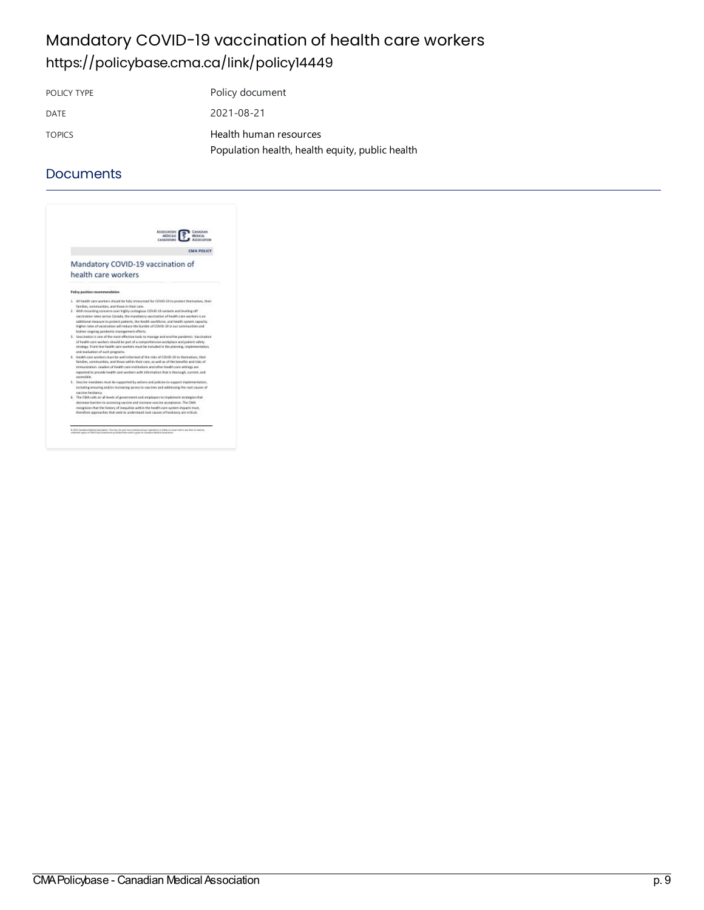## Mandatory COVID-19 vaccination of health care workers <https://policybase.cma.ca/link/policy14449>

POLICY TYPE POLICY TYPE DATE 2021-08-21 TOPICS Health human [resources](https://policybase.cma.ca/list?q=topic%253A%2522Health%20human%20resources%2522&p=1&ps=&sort=title_sort%20asc) [Population](https://policybase.cma.ca/list?q=topic%253A%2522Population%20health,%20health%20equity,%20public%20health%2522&p=1&ps=&sort=title_sort%20asc) health, health equity, public health

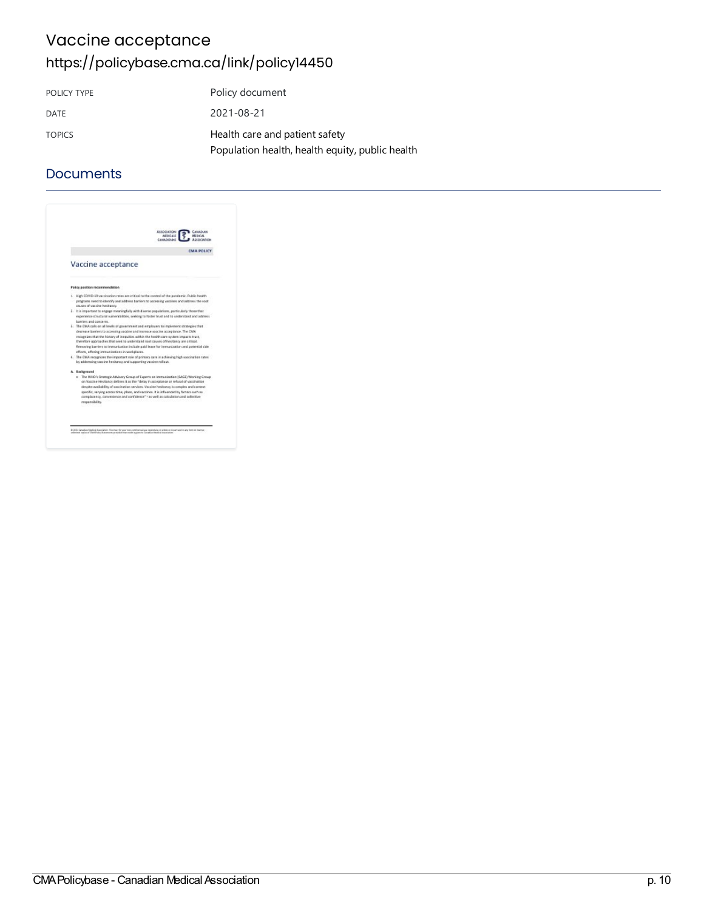## Vaccine acceptance <https://policybase.cma.ca/link/policy14450>

| POLICY TYPE   | Policy document                                 |
|---------------|-------------------------------------------------|
| DATE          | 2021-08-21                                      |
| <b>TOPICS</b> | Health care and patient safety                  |
|               | Population health, health equity, public health |

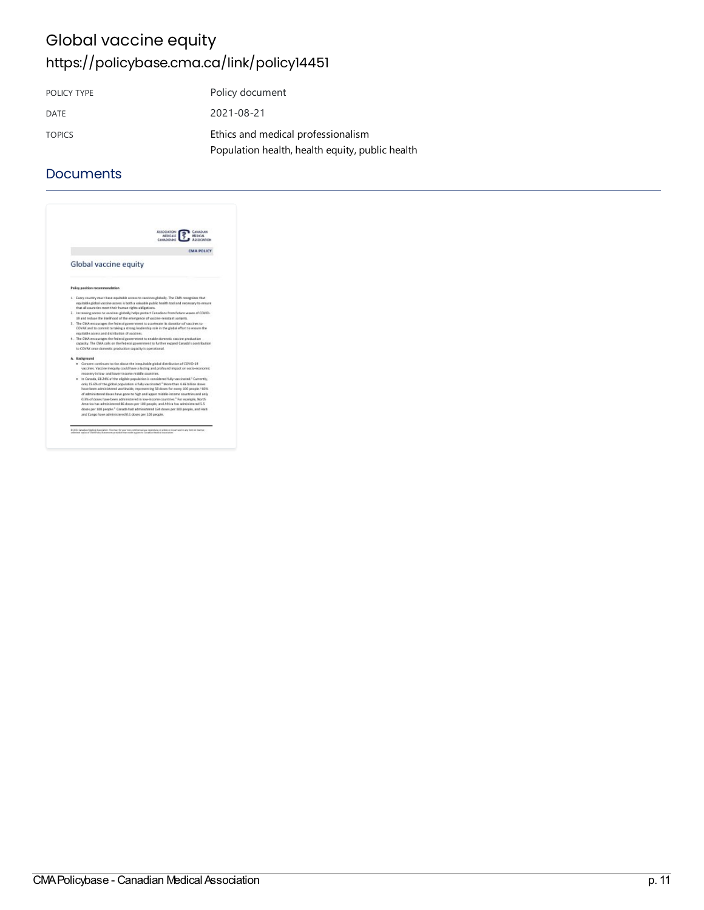## Global vaccine equity <https://policybase.cma.ca/link/policy14451>

| POLICY TYPE   | Policy document                                 |
|---------------|-------------------------------------------------|
| DATE          | 2021-08-21                                      |
| <b>TOPICS</b> | Ethics and medical professionalism              |
|               | Population health, health equity, public health |

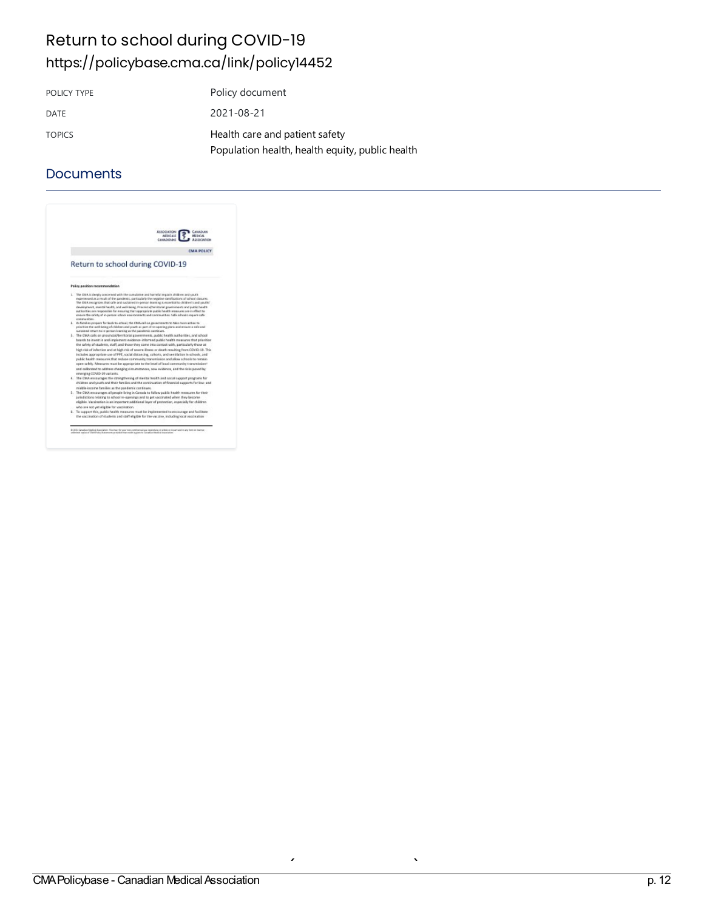## Return to school during COVID-19 <https://policybase.cma.ca/link/policy14452>

| POLICY TYPE   | Policy document                                 |
|---------------|-------------------------------------------------|
| DATE          | 2021-08-21                                      |
| <b>TOPICS</b> | Health care and patient safety                  |
|               | Population health, health equity, public health |

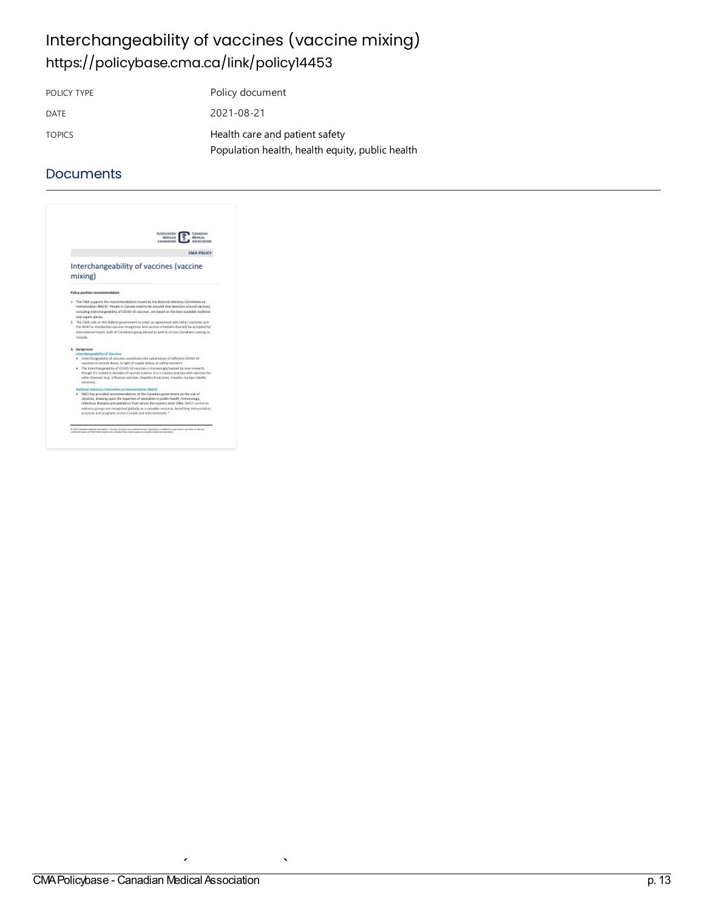# Interchangeability of vaccines (vaccine mixing) <https://policybase.cma.ca/link/policy14453>

POLICY TYPE Policy document DATE 2021-08-21 TOPICS **Health care and patient safety** [Population](https://policybase.cma.ca/list?q=topic%253A%2522Population%20health,%20health%20equity,%20public%20health%2522&p=1&ps=&sort=title_sort%20asc) health, health equity, public health

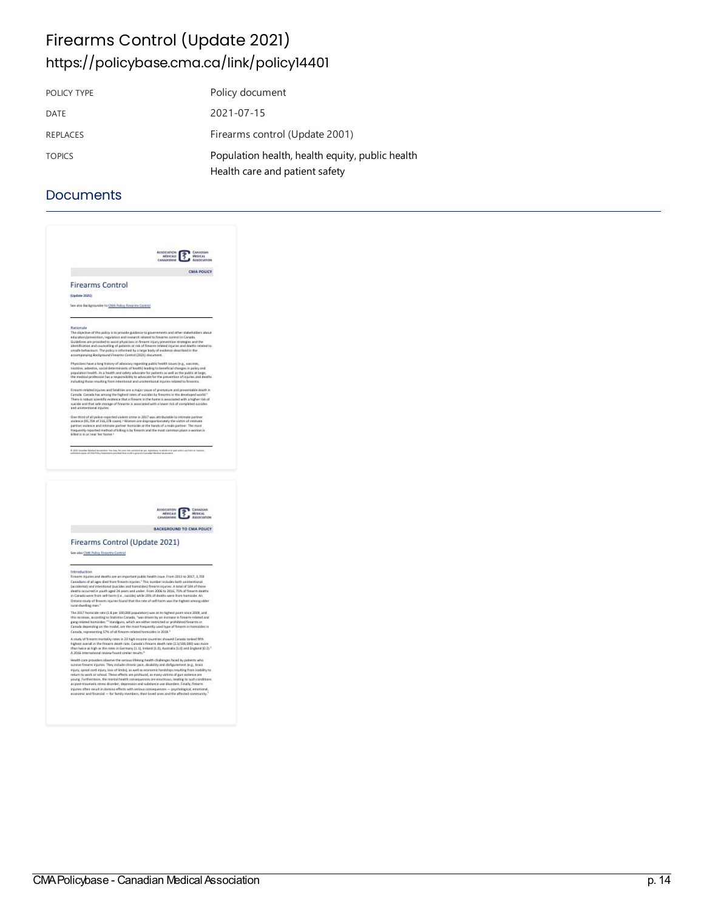## Firearms Control (Update 2021) <https://policybase.cma.ca/link/policy14401>

| POLICY TYPE     | Policy document                                                                   |
|-----------------|-----------------------------------------------------------------------------------|
| DATE            | 2021-07-15                                                                        |
| <b>REPLACES</b> | Firearms control (Update 2001)                                                    |
| <b>TOPICS</b>   | Population health, health equity, public health<br>Health care and patient safety |

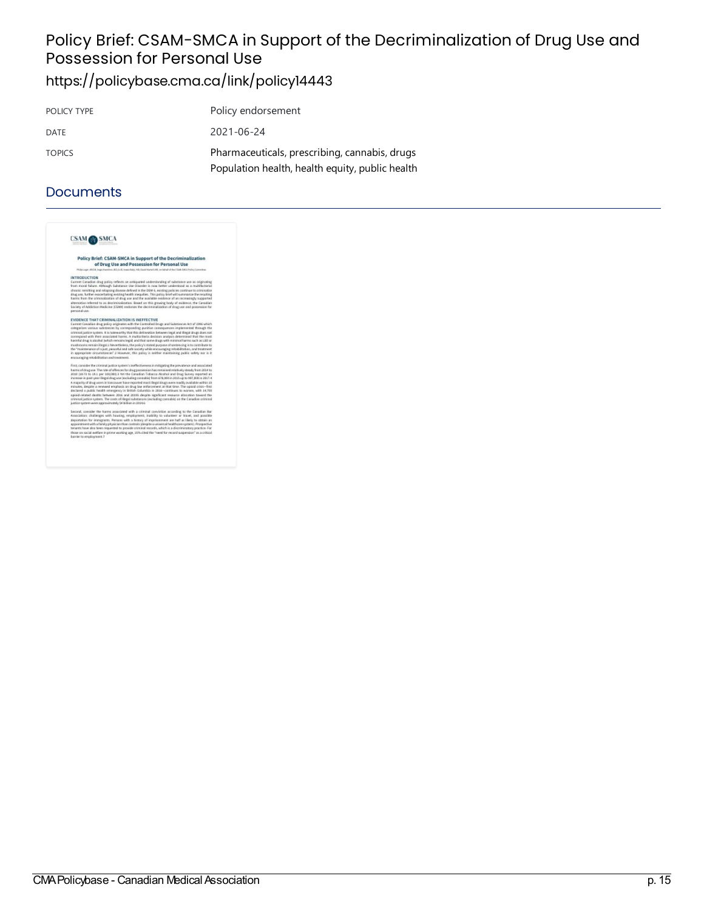# Policy Brief: CSAM-SMCA in Support of the Decriminalization of Drug Use and Possession for Personal Use

## <https://policybase.cma.ca/link/policy14443>

| POLICY TYPE   | Policy endorsement                              |
|---------------|-------------------------------------------------|
| DATE          | 2021-06-24                                      |
| <b>TOPICS</b> | Pharmaceuticals, prescribing, cannabis, drugs   |
|               | Population health, health equity, public health |

| CSAM <sub>1</sub>                    |                                                                                                                                                                                                                                                                                                                                                                                                                                                                                                                                                                                                                                                                                                                                                   |
|--------------------------------------|---------------------------------------------------------------------------------------------------------------------------------------------------------------------------------------------------------------------------------------------------------------------------------------------------------------------------------------------------------------------------------------------------------------------------------------------------------------------------------------------------------------------------------------------------------------------------------------------------------------------------------------------------------------------------------------------------------------------------------------------------|
|                                      | Policy Brief: CSAM-SMCA in Support of the Decriminalization<br>of Drug Use and Possession for Personal Use                                                                                                                                                                                                                                                                                                                                                                                                                                                                                                                                                                                                                                        |
|                                      | Philipi age: JADOA, Jago Hamilton, BOL-LLB, Jagochaly, NB, Deald Narsell, ME, on Eathell of the CSAR (SAS) Policy Committee                                                                                                                                                                                                                                                                                                                                                                                                                                                                                                                                                                                                                       |
| <b>INTRODUCTION</b><br>personal use. | Current Canadian drug policy reflects an antiquated understanding of substance use as prigination<br>from moral failure. Although Substance Lise (Bigsder is now better understood as a realtifactorial<br>chronic remitting and retapsing disease defined in the DSM-5, suisting policies continue to crimination<br>drug use, further exacerbating existing health inequities. This policy brief will summasize the resulting<br>harms from the criminalization of drug are and the available seidence of an increasingly supported<br>alternative referred to as decriminalization, Great on this proving body of evidence, the Canadian<br>Saciety of Addiction Medicine (CSAM) endorses the decriminalization of drag use and popperator for |
|                                      | EVIDENCE THAT CRIMINALIZATION IS INEFFECTIVE                                                                                                                                                                                                                                                                                                                                                                                                                                                                                                                                                                                                                                                                                                      |
|                                      | Current Canadian drug policy originates with the Controlled Brugs and Substances Act of 1996 which<br>categorizes various substances by corresponding punkive consequences implemented through the<br>criminal justice system. It is notewarthy that this delineation between legal and illegal drugs does part<br>correspond with their associated harms. A multicritwin decision analysis determined that the reast<br>harmful disur is abobat by hich remains legall and that some drugs with minimal harms such as USB or                                                                                                                                                                                                                     |
|                                      | exachiocery remain likepal a Meyertholess, the policy's stated purpose of sentencing is to contribute to<br>the "maintenance of a just, peaceful and safe society while encouraging relaxbilitation, and treatment<br>in appropriate progressores' 3 However, this policy is neither maintaining public safety nor is it.<br>monutating relatelization and treatment.                                                                                                                                                                                                                                                                                                                                                                             |
|                                      | First, carreider the criminal justice system's ineffective sets in mitigating the prevalence and associated                                                                                                                                                                                                                                                                                                                                                                                                                                                                                                                                                                                                                                       |
|                                      | harms of drug use. The rate of offences for drug possession has remained relatively steady from 2014 to<br>2018 (18.73 to 18.1 per 150,080).3 Wi the Canadian Tobacco Alcahol and Drag Survey reported an<br>increase in past-year illegal cing use (recluding cannabic) from 678,000 in 3015 up to 987,000 in 2817.4                                                                                                                                                                                                                                                                                                                                                                                                                             |
|                                      | A majority of drug upset in Vancouver have reported most likepal deupt were readily available within 30<br>minutes, despite a renewed entailsack on drug law enforcement at that time. The opipid crisis-first<br>declared a public health emergency in British Columbia in 2816-cantinues to warses, with 14,700<br>egisid-related deaths between 2016 and 20185 despite significant respurce allocation taward the                                                                                                                                                                                                                                                                                                                              |
|                                      | criminal justice cyclers. The costs of illegal substances (excluding cannabid on the Canadian criminal<br>a atico ustrem versi al vietnamicanose erony testes opisal                                                                                                                                                                                                                                                                                                                                                                                                                                                                                                                                                                              |
|                                      | Second, consider the harms associated with a criminal conviction according to the Canadian Bar                                                                                                                                                                                                                                                                                                                                                                                                                                                                                                                                                                                                                                                    |
|                                      | Association: challenges with housing, employment, inability to valunteer or travel, and possible                                                                                                                                                                                                                                                                                                                                                                                                                                                                                                                                                                                                                                                  |
|                                      | deportation for immigrants. Persons with a history of imprisonment are half as likely to obtain an<br>appointment with a family physician than compair iderations universal healthcare commit. Prosaective<br>tenants have also been requested to provide criminal records, which is a discriminatory practice. Far                                                                                                                                                                                                                                                                                                                                                                                                                               |
| barrier to encolours ent.3           | those on sacial welfare in prime working age, 25% closf the "need for record suspension" as a critical                                                                                                                                                                                                                                                                                                                                                                                                                                                                                                                                                                                                                                            |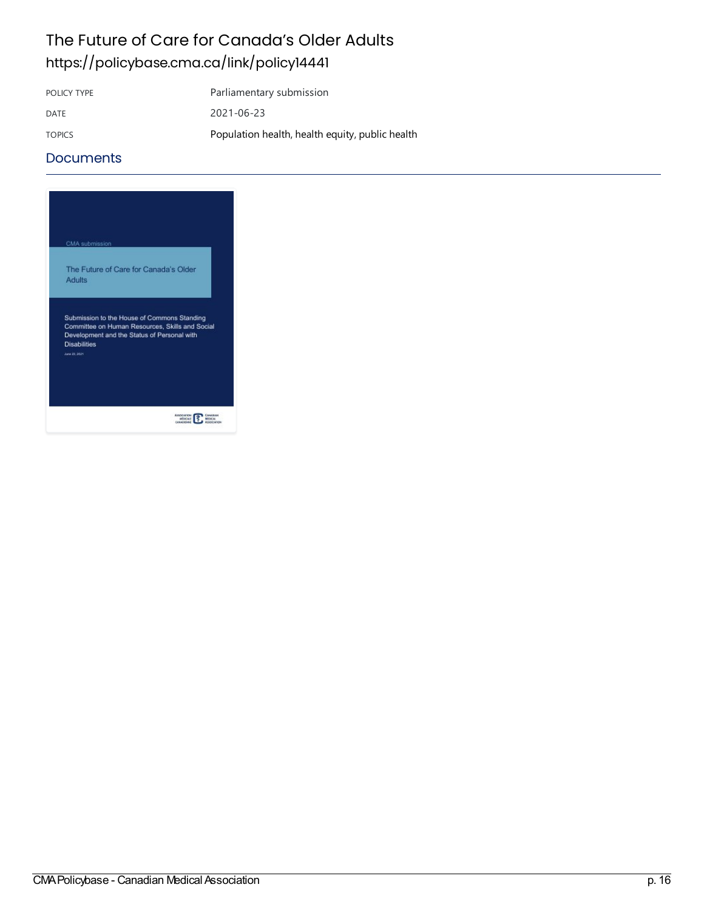## The Future of Care for Canada's Older Adults <https://policybase.cma.ca/link/policy14441>

POLICY TYPE Parliamentary submission DATE 2021-06-23 TOPICS [Population](https://policybase.cma.ca/list?q=topic%253A%2522Population%20health,%20health%20equity,%20public%20health%2522&p=1&ps=&sort=title_sort%20asc) health, health equity, public health

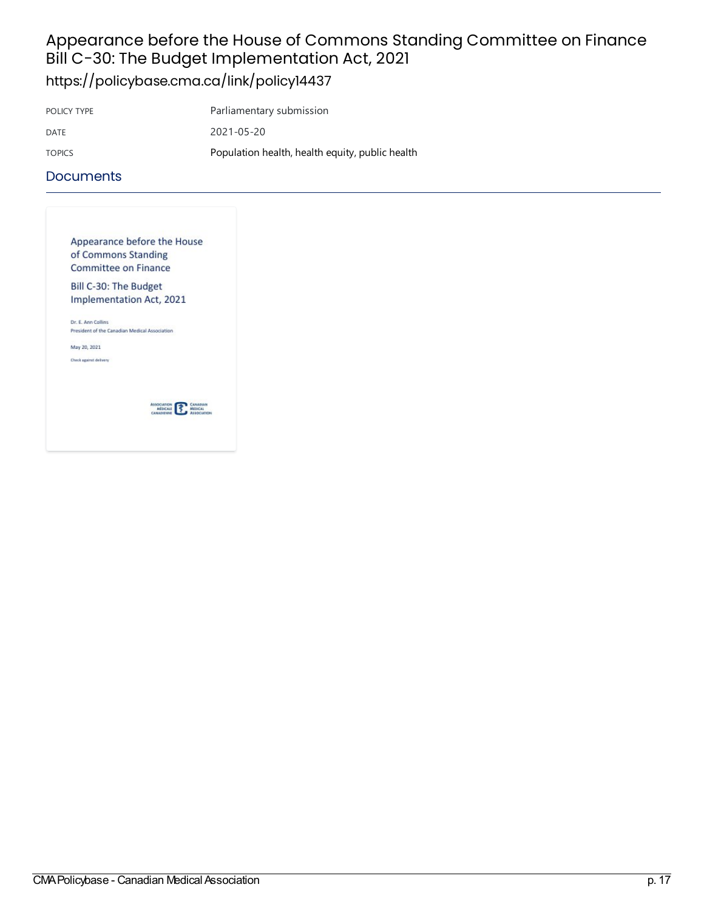# Appearance before the House of Commons Standing Committee on Finance Bill C-30: The Budget Implementation Act, 2021

<https://policybase.cma.ca/link/policy14437>

| POLICY TYPE   | Parliamentary submission                        |
|---------------|-------------------------------------------------|
| DATE          | 2021-05-20                                      |
| <b>TOPICS</b> | Population health, health equity, public health |

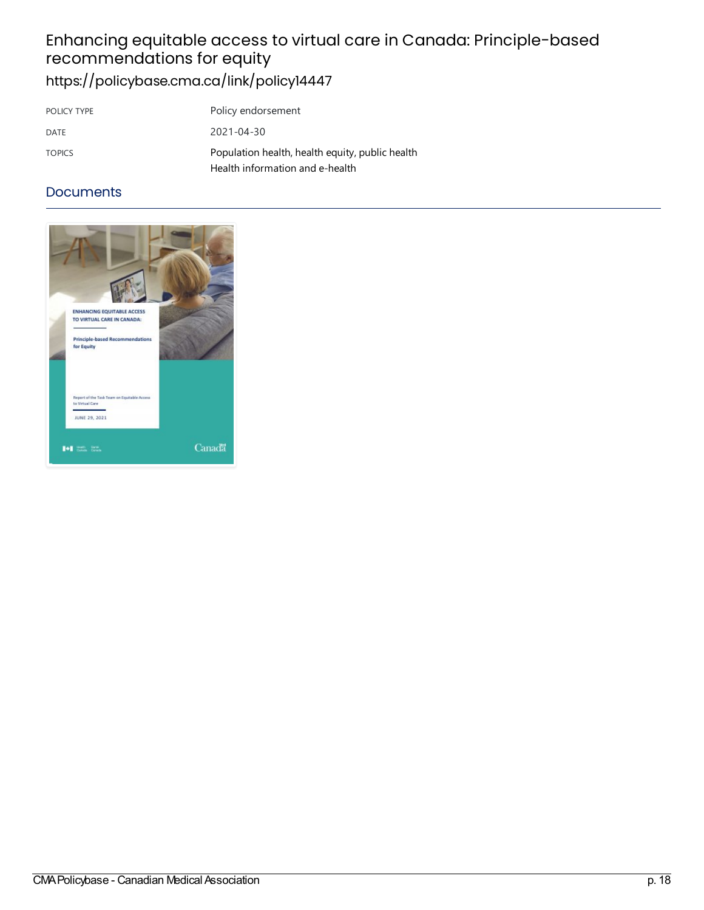# Enhancingequitableaccess tovirtualcarein Canada:Principle-based recommendations forequity <https://policybase.cma.ca/link/policy14447>

| POLICY TYPE   | Policy endorsement                                                                 |
|---------------|------------------------------------------------------------------------------------|
| DATE          | $2021 - 04 - 30$                                                                   |
| <b>TOPICS</b> | Population health, health equity, public health<br>Health information and e-health |

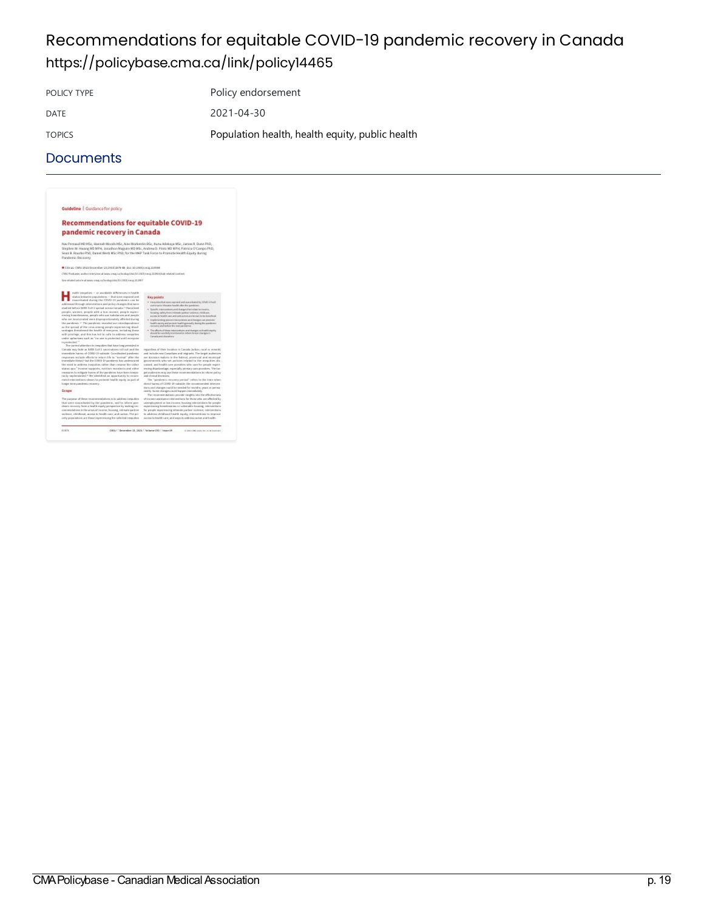# Recommendations for equitable COVID-19 pandemic recovery in Canada <https://policybase.cma.ca/link/policy14465>

POLICY TYPE Policy endorsement DATE 2021-04-30

TOPICS [Population](https://policybase.cma.ca/list?q=topic%253A%2522Population%20health,%20health%20equity,%20public%20health%2522&p=1&ps=&sort=title_sort%20asc) health, health equity, public health

| Guideline   Guidance for policy                                                                                                                                                                                                                                                                                                                                                                                                                                                                                                                                                                                                                                                                                                                                                                                                                                                                                                                                                                                                                                                                                                                                   |                                                                                                                                                                                                                                                                                                                                                                                                                                                                                                                                                                                                                                                                                                                                                                                                                                                                                                                                                                                                                                                                                                                                                                                                                                                  |
|-------------------------------------------------------------------------------------------------------------------------------------------------------------------------------------------------------------------------------------------------------------------------------------------------------------------------------------------------------------------------------------------------------------------------------------------------------------------------------------------------------------------------------------------------------------------------------------------------------------------------------------------------------------------------------------------------------------------------------------------------------------------------------------------------------------------------------------------------------------------------------------------------------------------------------------------------------------------------------------------------------------------------------------------------------------------------------------------------------------------------------------------------------------------|--------------------------------------------------------------------------------------------------------------------------------------------------------------------------------------------------------------------------------------------------------------------------------------------------------------------------------------------------------------------------------------------------------------------------------------------------------------------------------------------------------------------------------------------------------------------------------------------------------------------------------------------------------------------------------------------------------------------------------------------------------------------------------------------------------------------------------------------------------------------------------------------------------------------------------------------------------------------------------------------------------------------------------------------------------------------------------------------------------------------------------------------------------------------------------------------------------------------------------------------------|
| <b>Recommendations for equitable COVID-19</b>                                                                                                                                                                                                                                                                                                                                                                                                                                                                                                                                                                                                                                                                                                                                                                                                                                                                                                                                                                                                                                                                                                                     |                                                                                                                                                                                                                                                                                                                                                                                                                                                                                                                                                                                                                                                                                                                                                                                                                                                                                                                                                                                                                                                                                                                                                                                                                                                  |
| pandemic recovery in Canada                                                                                                                                                                                                                                                                                                                                                                                                                                                                                                                                                                                                                                                                                                                                                                                                                                                                                                                                                                                                                                                                                                                                       |                                                                                                                                                                                                                                                                                                                                                                                                                                                                                                                                                                                                                                                                                                                                                                                                                                                                                                                                                                                                                                                                                                                                                                                                                                                  |
| Nay Persaud HD HSz, Hassah Moods HSz, Also Morkerdin BSz, Ituna Adokaya MSz, Janres R. Dunn PhD,<br>Stephen IV. Hearing MD MPH, Jonathon Maguire MD MSc, Andrew D. Pinto MD MPH, Patricia O'Campo PhD,<br>Sean B. Rourke PhD, Daniel Werb MSc PhD; for the HAP Task Force to Promote Health Equity during<br>Pandemic Recovery                                                                                                                                                                                                                                                                                                                                                                                                                                                                                                                                                                                                                                                                                                                                                                                                                                    |                                                                                                                                                                                                                                                                                                                                                                                                                                                                                                                                                                                                                                                                                                                                                                                                                                                                                                                                                                                                                                                                                                                                                                                                                                                  |
| City as CHAUSTS Dependent Experience on doil to Institute all streets                                                                                                                                                                                                                                                                                                                                                                                                                                                                                                                                                                                                                                                                                                                                                                                                                                                                                                                                                                                                                                                                                             |                                                                                                                                                                                                                                                                                                                                                                                                                                                                                                                                                                                                                                                                                                                                                                                                                                                                                                                                                                                                                                                                                                                                                                                                                                                  |
| CMAJ Postcarke and/not televizer at sears ontajos, beskap/shit/20.1323/vm.p.202004/kale-related-content.                                                                                                                                                                                                                                                                                                                                                                                                                                                                                                                                                                                                                                                                                                                                                                                                                                                                                                                                                                                                                                                          |                                                                                                                                                                                                                                                                                                                                                                                                                                                                                                                                                                                                                                                                                                                                                                                                                                                                                                                                                                                                                                                                                                                                                                                                                                                  |
| Term enforcement and the adverse is much as a flure integration TO 13223 V and 20 2007                                                                                                                                                                                                                                                                                                                                                                                                                                                                                                                                                                                                                                                                                                                                                                                                                                                                                                                                                                                                                                                                            |                                                                                                                                                                                                                                                                                                                                                                                                                                                                                                                                                                                                                                                                                                                                                                                                                                                                                                                                                                                                                                                                                                                                                                                                                                                  |
| ealth traspaties - or available differences in health<br>datas keisaren propulations - that scene exposed and<br>maceduled during the DIVIO-18 pandemic can be<br>addressed Brough interventions and policy changes that serve<br>studied before MAR Dril-2 served account Canada.14 Racialized<br>people, wasses, prople with a lost mome, people expert-<br>mining base-dessence, people who was subclarates and people.<br>who are insurrented zero disproportionately affected during<br>the paralents. <sup>17</sup> The paralents revealed not intendependence<br>as the screed of the circa among people experiencing disol-<br>saniages thatairmed the bralth of maryone, including these<br>with privilege, and this has bed to calls to address incontinu-<br>sinder aphorisms such as "ru une is protected and I ecosycine<br>to posterio del <sup>et</sup>                                                                                                                                                                                                                                                                                            | <b>IEary picents</b><br>· Paraprises that now expenses and associated by CIVAD Lineit<br>views experts shoulders beacht after the panalemic.<br>· Izanih ramanimnavalskappulvas viatriminuma.<br>Persaing, salaty from intensity partner stateman riskly and<br>access to health cars and unforching are lacings to be knowledge.<br>. Imagintaryling approximation problems and humber run promote<br>health equity and protest health governally skeing the pumilimity<br>rentmeny and kellers this environmental<br>· The afficience of these internantiality and changes, with additivepathy<br>should be excelledly recoveraged to inform figures and kinesky<br>Canada and alturalness:                                                                                                                                                                                                                                                                                                                                                                                                                                                                                                                                                    |
| The cannot attention to inequities that have long perceded in<br>Can rate may laste as \$ANS-CoD-2 nacciouslines coll rod and the<br>investigate human of CORO 20 salisade. Constitucient a and enti-<br>responses include efforts to return life to "montal" after the<br>instructure these) has the DOED 29 paralamic has underground<br>the need is address toggatize, rather than resume the ordain<br>slides men. Income specials, evolving monitoria and wither<br>renewates to entigetic horess of the paralersis baye leave treater.<br>racile insular-sected. <sup>11</sup> Ne identified an experimently to recorre-<br>menul interventions shows to permote health equity as part of<br>langer layer pundents excitemy.<br>Scope<br>The pargaran of these recommendations is to address the putters.<br>that were mannelated by the pandwete, and in inform pan-<br>sheets recovery from a health equity perspective by inalized rec-<br>conversibilizes in the areas of income, boundary, indirecto particles<br>statemer, childhood, access in health care, and casives The pri-<br>mity populations are those experiencing the selected transpites. | regardless of their location in Canada (whan, raral as enneale).<br>and include roya Canadians and Intersets. The tantet authorizes.<br>are decision-makers in the beloval, accelerate and mustained<br>presenteels who set authors related to the assuming de-<br>sussed, and bruith care associates who care for amoute econo-<br>entity distributions, exterially attingly care granders. The lat-<br>get audiences may use these commensuations in information.<br>and slimited decisions.<br>The "pandent's resuscery period" reflect by the time where<br>don't have at CDRD-10 salidab, the momentuled interview<br>iters and changes could be seeded for months, peace or perma-<br>nestly. Some changes could happen increduciely.<br>The recurrence dations provide traights into the effectiveness.<br>of transmit angieligens today centimis, for those who, are affected by .<br>unerightyment or law tracers, bounded interomitiers for prople-<br>experiencing homelessesses or valuatable locating, internet have.<br>by people experiencing islamate purboy statement intercentarys.<br>in adalyses childhood haulds equity, intercendries to begrave.<br>assena its bootifs same, and aspective additional prices and bootifs. |